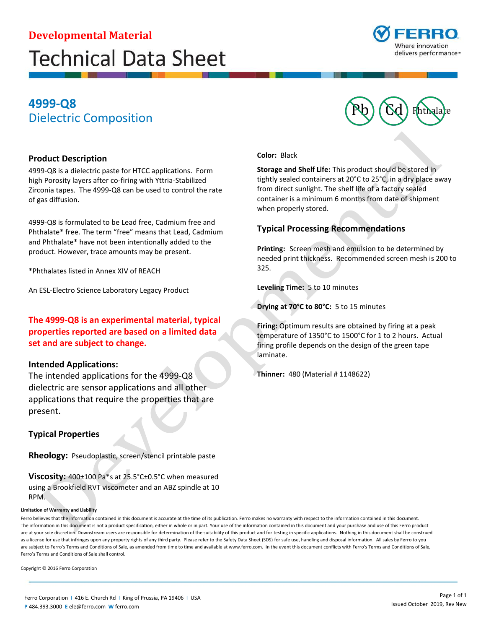# **Developmental Material Technical Data Sheet**



## Pb Cd Phthalate **4999-Q8**  Dielectric Composition

#### **Product Description**

4999-Q8 is a dielectric paste for HTCC applications. Form high Porosity layers after co-firing with Yttria-Stabilized Zirconia tapes. The 4999-Q8 can be used to control the rate of gas diffusion.

4999-Q8 is formulated to be Lead free, Cadmium free and Phthalate\* free. The term "free" means that Lead, Cadmium and Phthalate\* have not been intentionally added to the product. However, trace amounts may be present.

\*Phthalates listed in Annex XIV of REACH

An ESL-Electro Science Laboratory Legacy Product

 **The 4999-Q8 is an experimental material, typical properties reported are based on a limited data set and are subject to change.** 

#### **Intended Applications:**

 dielectric are sensor applications and all other applications that require the properties that are The intended applications for the 4999-Q8 present.

### **Typical Properties**

 **Rheology:** Pseudoplastic, screen/stencil printable paste

**Viscosity:** 400±100 Pa\*s at 25.5°C±0.5°C when measured using a Brookfield RVT viscometer and an ABZ spindle at 10 RPM.

#### **Limitation of Warranty and Liability**

Ferro believes that the information contained in this document is accurate at the time of its publication. Ferro makes no warranty with respect to the information contained in this document. The information in this document is not a product specification, either in whole or in part. Your use of the information contained in this document and your purchase and use of this Ferro product are at your sole discretion. Downstream users are responsible for determination of the suitability of this product and for testing in specific applications. Nothing in this document shall be construed as a license for use that infringes upon any property rights of any third party. Please refer to the Safety Data Sheet (SDS) for safe use, handling and disposal information. All sales by Ferro to you are subject to Ferro's Terms and Conditions of Sale, as amended from time to time and available at<www.ferro.com>. In the event this document conflicts with Ferro's Terms and Conditions of Sale, Ferro's Terms and Conditions of Sale shall control.

Copyright © 2016 Ferro Corporation

**Color:** Black

**Storage and Shelf Life:** This product should be stored in tightly sealed containers at 20°C to 25°C, in a dry place away from direct sunlight. The shelf life of a factory sealed container is a minimum 6 months from date of shipment when properly stored.

### **Typical Processing Recommendations**

 **Printing:** Screen mesh and emulsion to be determined by needed print thickness. Recommended screen mesh is 200 to 325.

**Leveling Time:** 5 to 10 minutes

**Drying at 70°C to 80°C:** 5 to 15 minutes

**Firing:** Optimum results are obtained by firing at a peak temperature of 1350°C to 1500°C for 1 to 2 hours. Actual firing profile depends on the design of the green tape laminate.

**Thinner:** 480 (Material # 1148622)